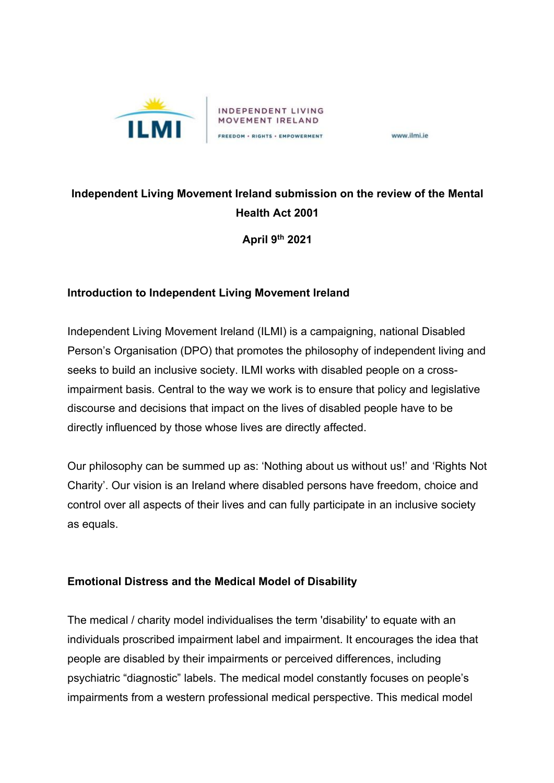

www.ilmi.ie

# **Independent Living Movement Ireland submission on the review of the Mental Health Act 2001**

**April 9th 2021**

## **Introduction to Independent Living Movement Ireland**

Independent Living Movement Ireland (ILMI) is a campaigning, national Disabled Person's Organisation (DPO) that promotes the philosophy of independent living and seeks to build an inclusive society. ILMI works with disabled people on a crossimpairment basis. Central to the way we work is to ensure that policy and legislative discourse and decisions that impact on the lives of disabled people have to be directly influenced by those whose lives are directly affected.

Our philosophy can be summed up as: 'Nothing about us without us!' and 'Rights Not Charity'. Our vision is an Ireland where disabled persons have freedom, choice and control over all aspects of their lives and can fully participate in an inclusive society as equals.

## **Emotional Distress and the Medical Model of Disability**

The medical / charity model individualises the term 'disability' to equate with an individuals proscribed impairment label and impairment. It encourages the idea that people are disabled by their impairments or perceived differences, including psychiatric "diagnostic" labels. The medical model constantly focuses on people's impairments from a western professional medical perspective. This medical model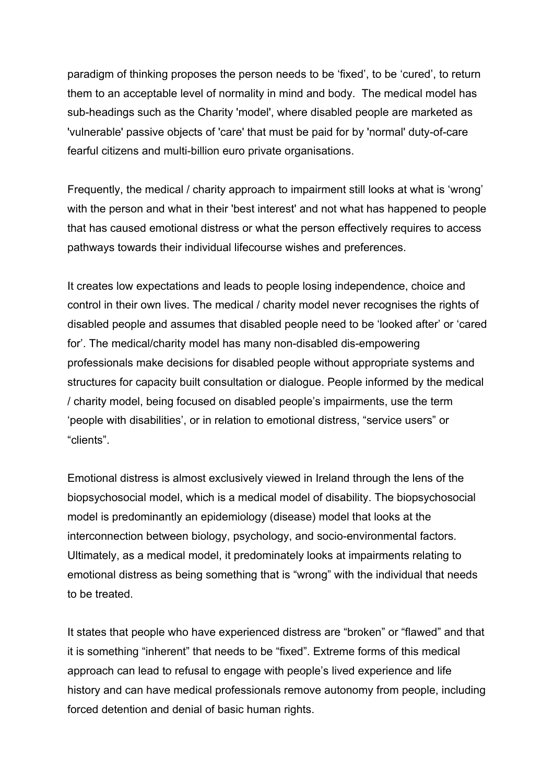paradigm of thinking proposes the person needs to be 'fixed', to be 'cured', to return them to an acceptable level of normality in mind and body. The medical model has sub-headings such as the Charity 'model', where disabled people are marketed as 'vulnerable' passive objects of 'care' that must be paid for by 'normal' duty-of-care fearful citizens and multi-billion euro private organisations.

Frequently, the medical / charity approach to impairment still looks at what is 'wrong' with the person and what in their 'best interest' and not what has happened to people that has caused emotional distress or what the person effectively requires to access pathways towards their individual lifecourse wishes and preferences.

It creates low expectations and leads to people losing independence, choice and control in their own lives. The medical / charity model never recognises the rights of disabled people and assumes that disabled people need to be 'looked after' or 'cared for'. The medical/charity model has many non-disabled dis-empowering professionals make decisions for disabled people without appropriate systems and structures for capacity built consultation or dialogue. People informed by the medical / charity model, being focused on disabled people's impairments, use the term 'people with disabilities', or in relation to emotional distress, "service users" or "clients".

Emotional distress is almost exclusively viewed in Ireland through the lens of the biopsychosocial model, which is a medical model of disability. The biopsychosocial model is predominantly an epidemiology (disease) model that looks at the interconnection between biology, psychology, and socio-environmental factors. Ultimately, as a medical model, it predominately looks at impairments relating to emotional distress as being something that is "wrong" with the individual that needs to be treated.

It states that people who have experienced distress are "broken" or "flawed" and that it is something "inherent" that needs to be "fixed". Extreme forms of this medical approach can lead to refusal to engage with people's lived experience and life history and can have medical professionals remove autonomy from people, including forced detention and denial of basic human rights.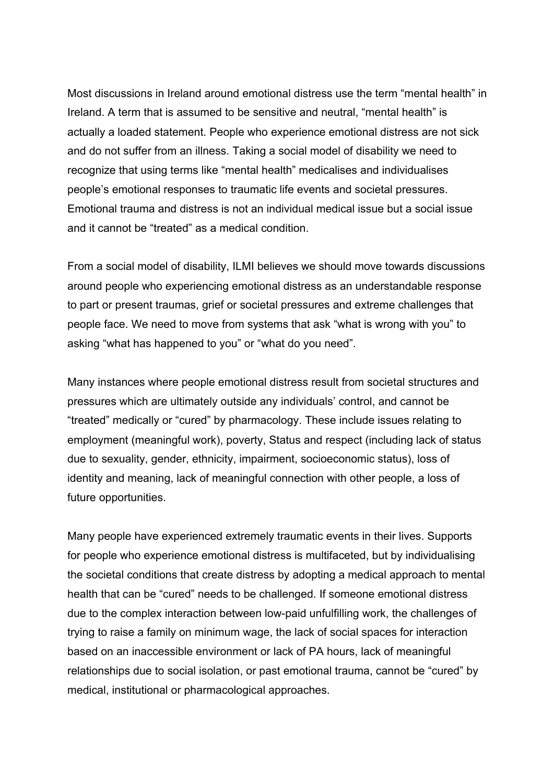Most discussions in Ireland around emotional distress use the term "mental health" in Ireland. A term that is assumed to be sensitive and neutral, "mental health" is actually a loaded statement. People who experience emotional distress are not sick and do not suffer from an illness. Taking a social model of disability we need to recognize that using terms like "mental health" medicalises and individualises people's emotional responses to traumatic life events and societal pressures. Emotional trauma and distress is not an individual medical issue but a social issue and it cannot be "treated" as a medical condition.

From a social model of disability, ILMI believes we should move towards discussions around people who experiencing emotional distress as an understandable response to part or present traumas, grief or societal pressures and extreme challenges that people face. We need to move from systems that ask "what is wrong with you" to asking "what has happened to you" or "what do you need".

Many instances where people emotional distress result from societal structures and pressures which are ultimately outside any individuals' control, and cannot be "treated" medically or "cured" by pharmacology. These include issues relating to employment (meaningful work), poverty, Status and respect (including lack of status due to sexuality, gender, ethnicity, impairment, socioeconomic status), loss of identity and meaning, lack of meaningful connection with other people, a loss of future opportunities.

Many people have experienced extremely traumatic events in their lives. Supports for people who experience emotional distress is multifaceted, but by individualising the societal conditions that create distress by adopting a medical approach to mental health that can be "cured" needs to be challenged. If someone emotional distress due to the complex interaction between low-paid unfulfilling work, the challenges of trying to raise a family on minimum wage, the lack of social spaces for interaction based on an inaccessible environment or lack of PA hours, lack of meaningful relationships due to social isolation, or past emotional trauma, cannot be "cured" by medical, institutional or pharmacological approaches.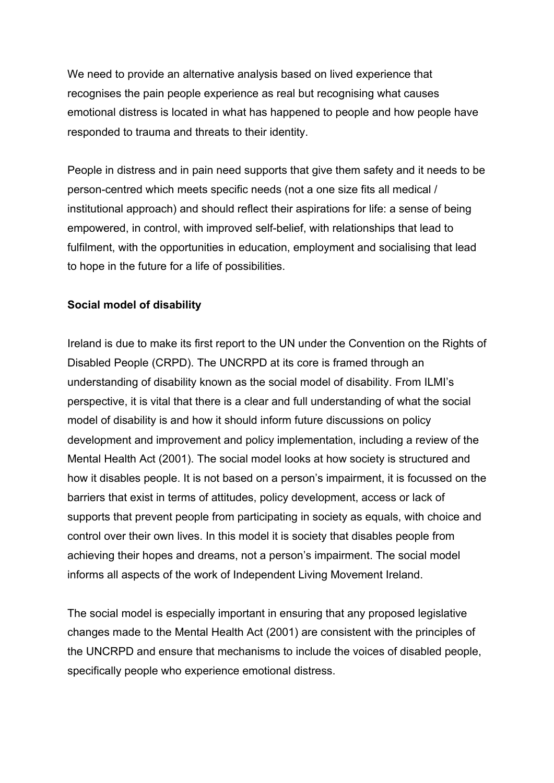We need to provide an alternative analysis based on lived experience that recognises the pain people experience as real but recognising what causes emotional distress is located in what has happened to people and how people have responded to trauma and threats to their identity.

People in distress and in pain need supports that give them safety and it needs to be person-centred which meets specific needs (not a one size fits all medical / institutional approach) and should reflect their aspirations for life: a sense of being empowered, in control, with improved self-belief, with relationships that lead to fulfilment, with the opportunities in education, employment and socialising that lead to hope in the future for a life of possibilities.

#### **Social model of disability**

Ireland is due to make its first report to the UN under the Convention on the Rights of Disabled People (CRPD). The UNCRPD at its core is framed through an understanding of disability known as the social model of disability. From ILMI's perspective, it is vital that there is a clear and full understanding of what the social model of disability is and how it should inform future discussions on policy development and improvement and policy implementation, including a review of the Mental Health Act (2001). The social model looks at how society is structured and how it disables people. It is not based on a person's impairment, it is focussed on the barriers that exist in terms of attitudes, policy development, access or lack of supports that prevent people from participating in society as equals, with choice and control over their own lives. In this model it is society that disables people from achieving their hopes and dreams, not a person's impairment. The social model informs all aspects of the work of Independent Living Movement Ireland.

The social model is especially important in ensuring that any proposed legislative changes made to the Mental Health Act (2001) are consistent with the principles of the UNCRPD and ensure that mechanisms to include the voices of disabled people, specifically people who experience emotional distress.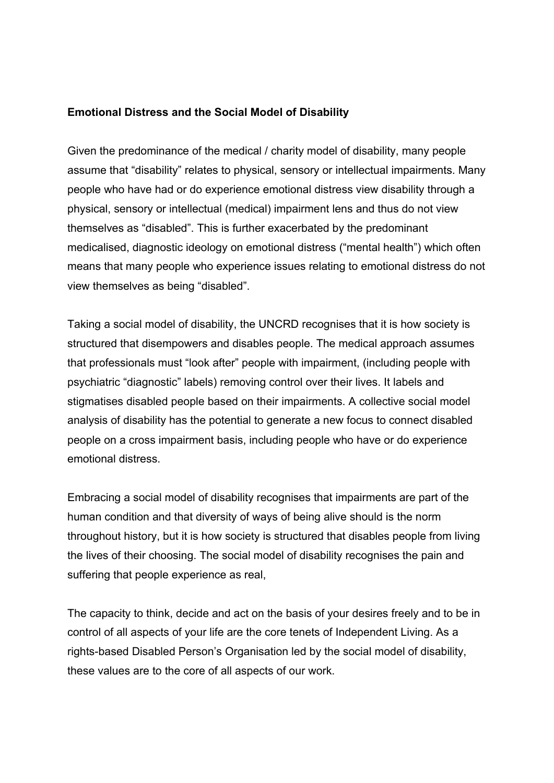#### **Emotional Distress and the Social Model of Disability**

Given the predominance of the medical / charity model of disability, many people assume that "disability" relates to physical, sensory or intellectual impairments. Many people who have had or do experience emotional distress view disability through a physical, sensory or intellectual (medical) impairment lens and thus do not view themselves as "disabled". This is further exacerbated by the predominant medicalised, diagnostic ideology on emotional distress ("mental health") which often means that many people who experience issues relating to emotional distress do not view themselves as being "disabled".

Taking a social model of disability, the UNCRD recognises that it is how society is structured that disempowers and disables people. The medical approach assumes that professionals must "look after" people with impairment, (including people with psychiatric "diagnostic" labels) removing control over their lives. It labels and stigmatises disabled people based on their impairments. A collective social model analysis of disability has the potential to generate a new focus to connect disabled people on a cross impairment basis, including people who have or do experience emotional distress.

Embracing a social model of disability recognises that impairments are part of the human condition and that diversity of ways of being alive should is the norm throughout history, but it is how society is structured that disables people from living the lives of their choosing. The social model of disability recognises the pain and suffering that people experience as real,

The capacity to think, decide and act on the basis of your desires freely and to be in control of all aspects of your life are the core tenets of Independent Living. As a rights-based Disabled Person's Organisation led by the social model of disability, these values are to the core of all aspects of our work.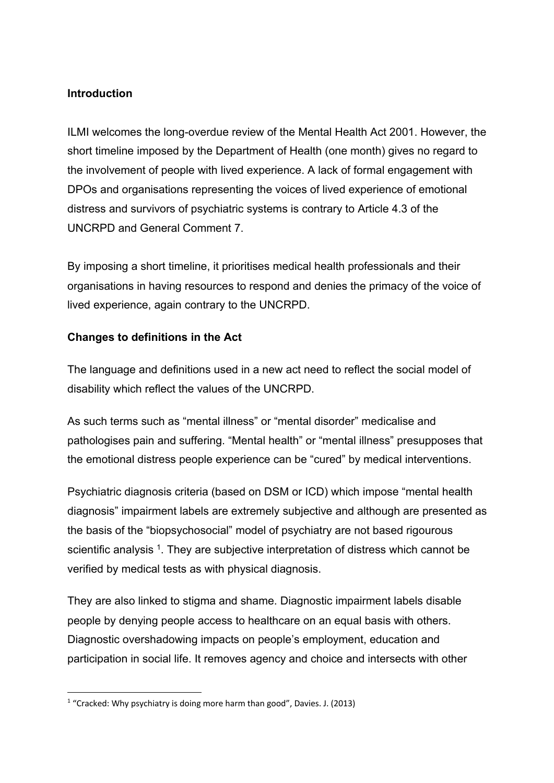#### **Introduction**

ILMI welcomes the long-overdue review of the Mental Health Act 2001. However, the short timeline imposed by the Department of Health (one month) gives no regard to the involvement of people with lived experience. A lack of formal engagement with DPOs and organisations representing the voices of lived experience of emotional distress and survivors of psychiatric systems is contrary to Article 4.3 of the UNCRPD and General Comment 7.

By imposing a short timeline, it prioritises medical health professionals and their organisations in having resources to respond and denies the primacy of the voice of lived experience, again contrary to the UNCRPD.

## **Changes to definitions in the Act**

The language and definitions used in a new act need to reflect the social model of disability which reflect the values of the UNCRPD.

As such terms such as "mental illness" or "mental disorder" medicalise and pathologises pain and suffering. "Mental health" or "mental illness" presupposes that the emotional distress people experience can be "cured" by medical interventions.

Psychiatric diagnosis criteria (based on DSM or ICD) which impose "mental health diagnosis" impairment labels are extremely subjective and although are presented as the basis of the "biopsychosocial" model of psychiatry are not based rigourous scientific analysis <sup>1</sup>. They are subjective interpretation of distress which cannot be verified by medical tests as with physical diagnosis.

They are also linked to stigma and shame. Diagnostic impairment labels disable people by denying people access to healthcare on an equal basis with others. Diagnostic overshadowing impacts on people's employment, education and participation in social life. It removes agency and choice and intersects with other

<sup>&</sup>lt;sup>1</sup> "Cracked: Why psychiatry is doing more harm than good", Davies. J. (2013)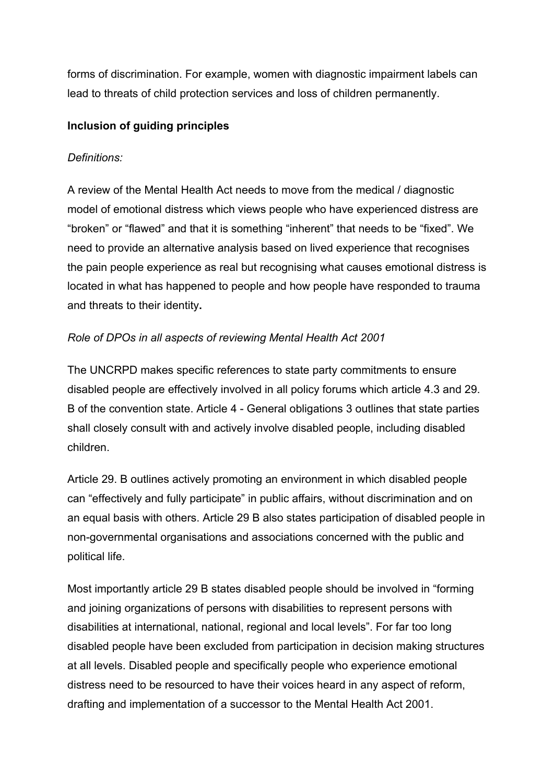forms of discrimination. For example, women with diagnostic impairment labels can lead to threats of child protection services and loss of children permanently.

## **Inclusion of guiding principles**

## *Definitions:*

A review of the Mental Health Act needs to move from the medical / diagnostic model of emotional distress which views people who have experienced distress are "broken" or "flawed" and that it is something "inherent" that needs to be "fixed". We need to provide an alternative analysis based on lived experience that recognises the pain people experience as real but recognising what causes emotional distress is located in what has happened to people and how people have responded to trauma and threats to their identity**.**

# *Role of DPOs in all aspects of reviewing Mental Health Act 2001*

The UNCRPD makes specific references to state party commitments to ensure disabled people are effectively involved in all policy forums which article 4.3 and 29. B of the convention state. Article 4 - General obligations 3 outlines that state parties shall closely consult with and actively involve disabled people, including disabled children.

Article 29. B outlines actively promoting an environment in which disabled people can "effectively and fully participate" in public affairs, without discrimination and on an equal basis with others. Article 29 B also states participation of disabled people in non-governmental organisations and associations concerned with the public and political life.

Most importantly article 29 B states disabled people should be involved in "forming and joining organizations of persons with disabilities to represent persons with disabilities at international, national, regional and local levels". For far too long disabled people have been excluded from participation in decision making structures at all levels. Disabled people and specifically people who experience emotional distress need to be resourced to have their voices heard in any aspect of reform, drafting and implementation of a successor to the Mental Health Act 2001.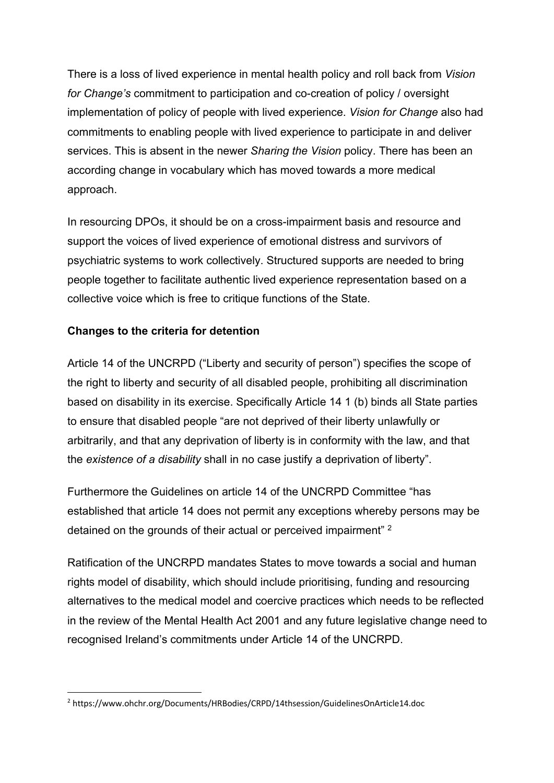There is a loss of lived experience in mental health policy and roll back from *Vision for Change's* commitment to participation and co-creation of policy / oversight implementation of policy of people with lived experience. *Vision for Change* also had commitments to enabling people with lived experience to participate in and deliver services. This is absent in the newer *Sharing the Vision* policy. There has been an according change in vocabulary which has moved towards a more medical approach.

In resourcing DPOs, it should be on a cross-impairment basis and resource and support the voices of lived experience of emotional distress and survivors of psychiatric systems to work collectively. Structured supports are needed to bring people together to facilitate authentic lived experience representation based on a collective voice which is free to critique functions of the State.

## **Changes to the criteria for detention**

Article 14 of the UNCRPD ("Liberty and security of person") specifies the scope of the right to liberty and security of all disabled people, prohibiting all discrimination based on disability in its exercise. Specifically Article 14 1 (b) binds all State parties to ensure that disabled people "are not deprived of their liberty unlawfully or arbitrarily, and that any deprivation of liberty is in conformity with the law, and that the *existence of a disability* shall in no case justify a deprivation of liberty".

Furthermore the Guidelines on article 14 of the UNCRPD Committee "has established that article 14 does not permit any exceptions whereby persons may be detained on the grounds of their actual or perceived impairment" 2

Ratification of the UNCRPD mandates States to move towards a social and human rights model of disability, which should include prioritising, funding and resourcing alternatives to the medical model and coercive practices which needs to be reflected in the review of the Mental Health Act 2001 and any future legislative change need to recognised Ireland's commitments under Article 14 of the UNCRPD.

<sup>2</sup> https://www.ohchr.org/Documents/HRBodies/CRPD/14thsession/GuidelinesOnArticle14.doc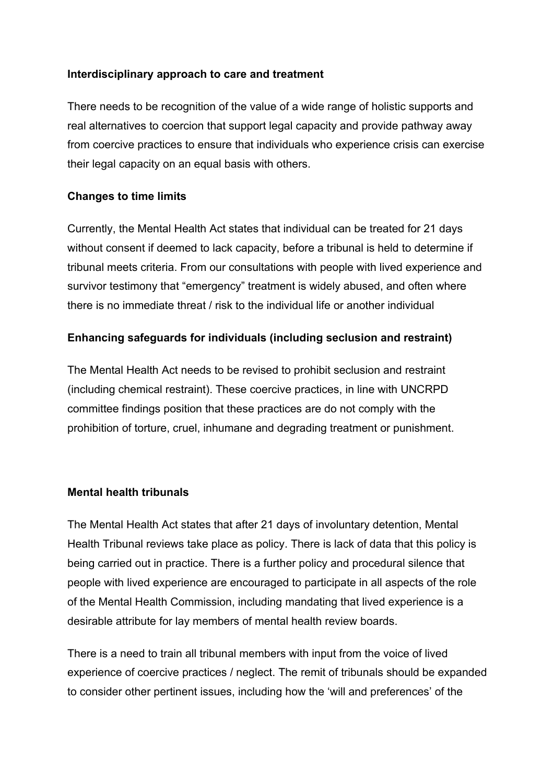#### **Interdisciplinary approach to care and treatment**

There needs to be recognition of the value of a wide range of holistic supports and real alternatives to coercion that support legal capacity and provide pathway away from coercive practices to ensure that individuals who experience crisis can exercise their legal capacity on an equal basis with others.

#### **Changes to time limits**

Currently, the Mental Health Act states that individual can be treated for 21 days without consent if deemed to lack capacity, before a tribunal is held to determine if tribunal meets criteria. From our consultations with people with lived experience and survivor testimony that "emergency" treatment is widely abused, and often where there is no immediate threat / risk to the individual life or another individual

#### **Enhancing safeguards for individuals (including seclusion and restraint)**

The Mental Health Act needs to be revised to prohibit seclusion and restraint (including chemical restraint). These coercive practices, in line with UNCRPD committee findings position that these practices are do not comply with the prohibition of torture, cruel, inhumane and degrading treatment or punishment.

#### **Mental health tribunals**

The Mental Health Act states that after 21 days of involuntary detention, Mental Health Tribunal reviews take place as policy. There is lack of data that this policy is being carried out in practice. There is a further policy and procedural silence that people with lived experience are encouraged to participate in all aspects of the role of the Mental Health Commission, including mandating that lived experience is a desirable attribute for lay members of mental health review boards.

There is a need to train all tribunal members with input from the voice of lived experience of coercive practices / neglect. The remit of tribunals should be expanded to consider other pertinent issues, including how the 'will and preferences' of the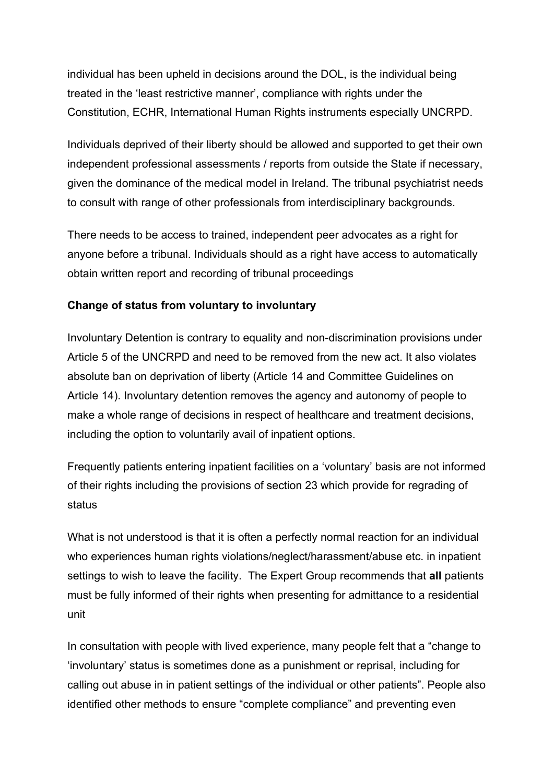individual has been upheld in decisions around the DOL, is the individual being treated in the 'least restrictive manner', compliance with rights under the Constitution, ECHR, International Human Rights instruments especially UNCRPD.

Individuals deprived of their liberty should be allowed and supported to get their own independent professional assessments / reports from outside the State if necessary, given the dominance of the medical model in Ireland. The tribunal psychiatrist needs to consult with range of other professionals from interdisciplinary backgrounds.

There needs to be access to trained, independent peer advocates as a right for anyone before a tribunal. Individuals should as a right have access to automatically obtain written report and recording of tribunal proceedings

# **Change of status from voluntary to involuntary**

Involuntary Detention is contrary to equality and non-discrimination provisions under Article 5 of the UNCRPD and need to be removed from the new act. It also violates absolute ban on deprivation of liberty (Article 14 and Committee Guidelines on Article 14). Involuntary detention removes the agency and autonomy of people to make a whole range of decisions in respect of healthcare and treatment decisions, including the option to voluntarily avail of inpatient options.

Frequently patients entering inpatient facilities on a 'voluntary' basis are not informed of their rights including the provisions of section 23 which provide for regrading of status

What is not understood is that it is often a perfectly normal reaction for an individual who experiences human rights violations/neglect/harassment/abuse etc. in inpatient settings to wish to leave the facility. The Expert Group recommends that **all** patients must be fully informed of their rights when presenting for admittance to a residential unit

In consultation with people with lived experience, many people felt that a "change to 'involuntary' status is sometimes done as a punishment or reprisal, including for calling out abuse in in patient settings of the individual or other patients". People also identified other methods to ensure "complete compliance" and preventing even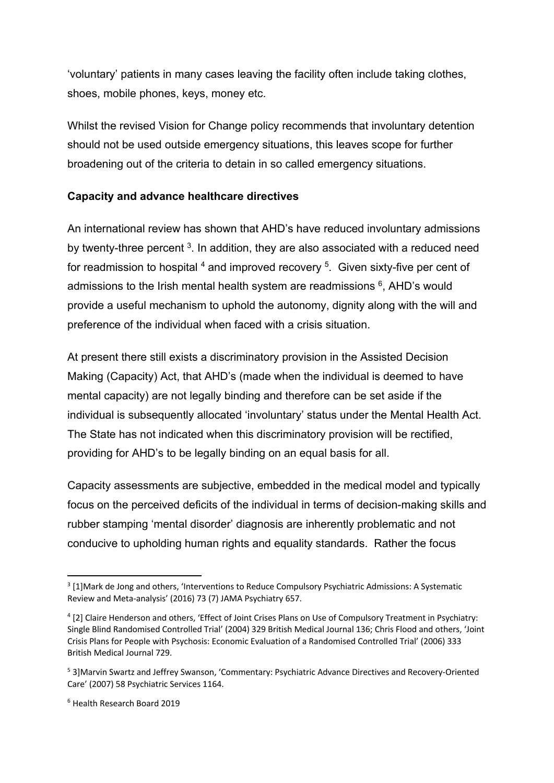'voluntary' patients in many cases leaving the facility often include taking clothes, shoes, mobile phones, keys, money etc.

Whilst the revised Vision for Change policy recommends that involuntary detention should not be used outside emergency situations, this leaves scope for further broadening out of the criteria to detain in so called emergency situations.

# **Capacity and advance healthcare directives**

An international review has shown that AHD's have reduced involuntary admissions by twenty-three percent  $3$ . In addition, they are also associated with a reduced need for readmission to hospital  $4$  and improved recovery  $5$ . Given sixty-five per cent of admissions to the Irish mental health system are readmissions  $6$ , AHD's would provide a useful mechanism to uphold the autonomy, dignity along with the will and preference of the individual when faced with a crisis situation.

At present there still exists a discriminatory provision in the Assisted Decision Making (Capacity) Act, that AHD's (made when the individual is deemed to have mental capacity) are not legally binding and therefore can be set aside if the individual is subsequently allocated 'involuntary' status under the Mental Health Act. The State has not indicated when this discriminatory provision will be rectified, providing for AHD's to be legally binding on an equal basis for all.

Capacity assessments are subjective, embedded in the medical model and typically focus on the perceived deficits of the individual in terms of decision-making skills and rubber stamping 'mental disorder' diagnosis are inherently problematic and not conducive to upholding human rights and equality standards. Rather the focus

<sup>&</sup>lt;sup>3</sup> [1]Mark de Jong and others, 'Interventions to Reduce Compulsory Psychiatric Admissions: A Systematic Review and Meta-analysis' (2016) 73 (7) JAMA Psychiatry 657.

<sup>4</sup> [2] Claire Henderson and others, 'Effect of Joint Crises Plans on Use of Compulsory Treatment in Psychiatry: Single Blind Randomised Controlled Trial' (2004) 329 British Medical Journal 136; Chris Flood and others, 'Joint Crisis Plans for People with Psychosis: Economic Evaluation of a Randomised Controlled Trial' (2006) 333 British Medical Journal 729.

<sup>5</sup> 3]Marvin Swartz and Jeffrey Swanson, 'Commentary: Psychiatric Advance Directives and Recovery-Oriented Care' (2007) 58 Psychiatric Services 1164.

<sup>6</sup> Health Research Board 2019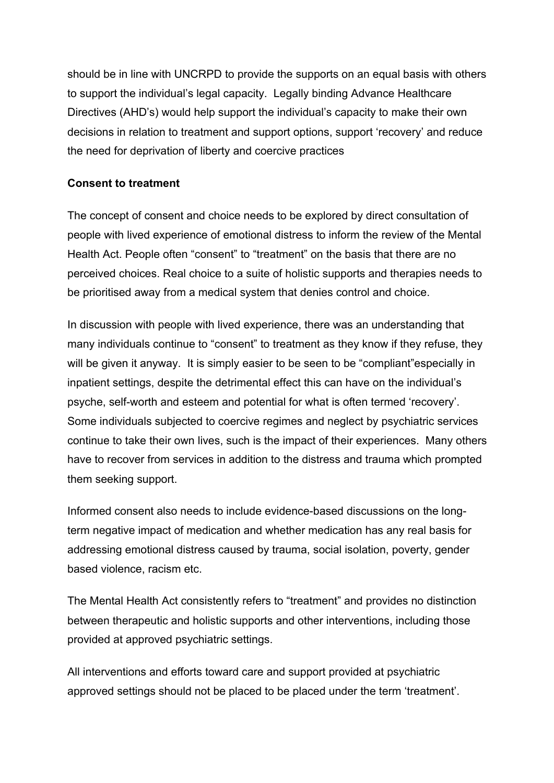should be in line with UNCRPD to provide the supports on an equal basis with others to support the individual's legal capacity. Legally binding Advance Healthcare Directives (AHD's) would help support the individual's capacity to make their own decisions in relation to treatment and support options, support 'recovery' and reduce the need for deprivation of liberty and coercive practices

#### **Consent to treatment**

The concept of consent and choice needs to be explored by direct consultation of people with lived experience of emotional distress to inform the review of the Mental Health Act. People often "consent" to "treatment" on the basis that there are no perceived choices. Real choice to a suite of holistic supports and therapies needs to be prioritised away from a medical system that denies control and choice.

In discussion with people with lived experience, there was an understanding that many individuals continue to "consent" to treatment as they know if they refuse, they will be given it anyway. It is simply easier to be seen to be "compliant"especially in inpatient settings, despite the detrimental effect this can have on the individual's psyche, self-worth and esteem and potential for what is often termed 'recovery'. Some individuals subjected to coercive regimes and neglect by psychiatric services continue to take their own lives, such is the impact of their experiences. Many others have to recover from services in addition to the distress and trauma which prompted them seeking support.

Informed consent also needs to include evidence-based discussions on the longterm negative impact of medication and whether medication has any real basis for addressing emotional distress caused by trauma, social isolation, poverty, gender based violence, racism etc.

The Mental Health Act consistently refers to "treatment" and provides no distinction between therapeutic and holistic supports and other interventions, including those provided at approved psychiatric settings.

All interventions and efforts toward care and support provided at psychiatric approved settings should not be placed to be placed under the term 'treatment'.